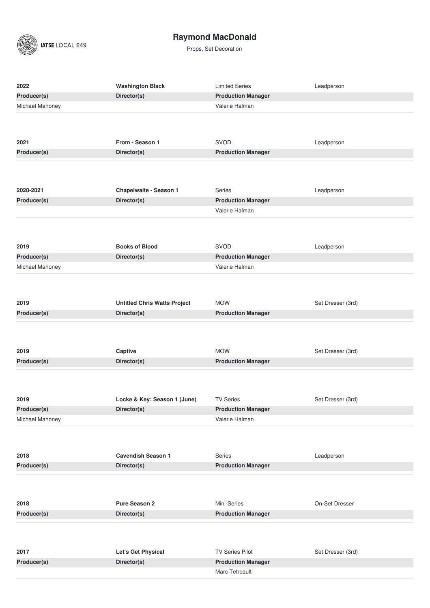$\left(\sqrt{\frac{1}{2}}\right)$  IATSE LOCAL 849

# **Raymond MacDonald**

| 2022                     | <b>Washington Black</b>                            | <b>Limited Series</b>               | Leadperson        |
|--------------------------|----------------------------------------------------|-------------------------------------|-------------------|
| Producer(s)              | Director(s)                                        | <b>Production Manager</b>           |                   |
| Michael Mahoney          |                                                    | Valerie Halman                      |                   |
|                          |                                                    |                                     |                   |
|                          |                                                    |                                     |                   |
| 2021                     | From - Season 1                                    | SVOD                                | Leadperson        |
| Producer(s)              | Director(s)                                        | <b>Production Manager</b>           |                   |
|                          |                                                    |                                     |                   |
|                          |                                                    |                                     |                   |
|                          |                                                    |                                     |                   |
| 2020-2021<br>Producer(s) | Chapelwaite - Season 1<br>Director(s)              | Series<br><b>Production Manager</b> | Leadperson        |
|                          |                                                    | Valerie Halman                      |                   |
|                          |                                                    |                                     |                   |
|                          |                                                    |                                     |                   |
| 2019                     | <b>Books of Blood</b>                              | SVOD                                | Leadperson        |
| Producer(s)              | Director(s)                                        | <b>Production Manager</b>           |                   |
| Michael Mahoney          |                                                    | Valerie Halman                      |                   |
|                          |                                                    |                                     |                   |
|                          |                                                    |                                     |                   |
| 2019                     |                                                    | <b>MOW</b>                          | Set Dresser (3rd) |
| Producer(s)              | <b>Untitled Chris Watts Project</b><br>Director(s) | <b>Production Manager</b>           |                   |
|                          |                                                    |                                     |                   |
|                          |                                                    |                                     |                   |
|                          |                                                    |                                     |                   |
| 2019                     | Captive                                            | <b>MOW</b>                          | Set Dresser (3rd) |
| Producer(s)              | Director(s)                                        | <b>Production Manager</b>           |                   |
|                          |                                                    |                                     |                   |
|                          |                                                    |                                     |                   |
| 2019                     | Locke & Key: Season 1 (June)                       | <b>TV Series</b>                    | Set Dresser (3rd) |
| Producer(s)              | Director(s)                                        | <b>Production Manager</b>           |                   |
| Michael Mahoney          |                                                    | Valerie Halman                      |                   |
|                          |                                                    |                                     |                   |
|                          |                                                    |                                     |                   |
| 2018                     | <b>Cavendish Season 1</b>                          | Series                              | Leadperson        |
| Producer(s)              | Director(s)                                        | <b>Production Manager</b>           |                   |
|                          |                                                    |                                     |                   |
|                          |                                                    |                                     |                   |
| 2018                     | <b>Pure Season 2</b>                               | Mini-Series                         | On-Set Dresser    |
| Producer(s)              | Director(s)                                        | <b>Production Manager</b>           |                   |
|                          |                                                    |                                     |                   |
|                          |                                                    |                                     |                   |
|                          |                                                    |                                     |                   |
| 2017                     | Let's Get Physical                                 | <b>TV Series Pilot</b>              | Set Dresser (3rd) |
| Producer(s)              | Director(s)                                        | <b>Production Manager</b>           |                   |
|                          |                                                    | Marc Tetreault                      |                   |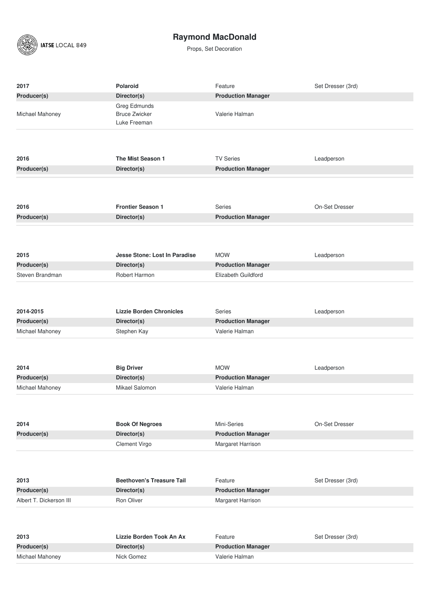

| 2017                    | <b>Polaroid</b>                                      | Feature                   | Set Dresser (3rd) |
|-------------------------|------------------------------------------------------|---------------------------|-------------------|
| Producer(s)             | Director(s)                                          | <b>Production Manager</b> |                   |
| Michael Mahoney         | Greg Edmunds<br><b>Bruce Zwicker</b><br>Luke Freeman | Valerie Halman            |                   |
|                         |                                                      |                           |                   |
| 2016                    | The Mist Season 1                                    | <b>TV Series</b>          | Leadperson        |
| Producer(s)             | Director(s)                                          | <b>Production Manager</b> |                   |
|                         |                                                      |                           |                   |
| 2016                    | <b>Frontier Season 1</b>                             | Series                    | On-Set Dresser    |
| Producer(s)             | Director(s)                                          | <b>Production Manager</b> |                   |
|                         |                                                      |                           |                   |
| 2015                    | Jesse Stone: Lost In Paradise                        | <b>MOW</b>                | Leadperson        |
| Producer(s)             | Director(s)                                          | <b>Production Manager</b> |                   |
| Steven Brandman         | Robert Harmon                                        | Elizabeth Guildford       |                   |
|                         |                                                      |                           |                   |
| 2014-2015               | <b>Lizzie Borden Chronicles</b>                      | <b>Series</b>             | Leadperson        |
| Producer(s)             | Director(s)                                          | <b>Production Manager</b> |                   |
| Michael Mahoney         | Stephen Kay                                          | Valerie Halman            |                   |
|                         |                                                      |                           |                   |
| 2014                    | <b>Big Driver</b>                                    | <b>MOW</b>                | Leadperson        |
| Producer(s)             | Director(s)                                          | <b>Production Manager</b> |                   |
| Michael Mahoney         | Mikael Salomon                                       | Valerie Halman            |                   |
| 2014                    | <b>Book Of Negroes</b>                               | Mini-Series               | On-Set Dresser    |
| Producer(s)             | Director(s)                                          | <b>Production Manager</b> |                   |
|                         | Clement Virgo                                        | Margaret Harrison         |                   |
|                         |                                                      |                           |                   |
| 2013                    | <b>Beethoven's Treasure Tail</b>                     | Feature                   | Set Dresser (3rd) |
| Producer(s)             | Director(s)                                          | <b>Production Manager</b> |                   |
| Albert T. Dickerson III | Ron Oliver                                           | Margaret Harrison         |                   |
|                         |                                                      |                           |                   |
| 2013                    | Lizzie Borden Took An Ax                             | Feature                   | Set Dresser (3rd) |
| Producer(s)             | Director(s)                                          | <b>Production Manager</b> |                   |
| Michael Mahoney         | Nick Gomez                                           | Valerie Halman            |                   |
|                         |                                                      |                           |                   |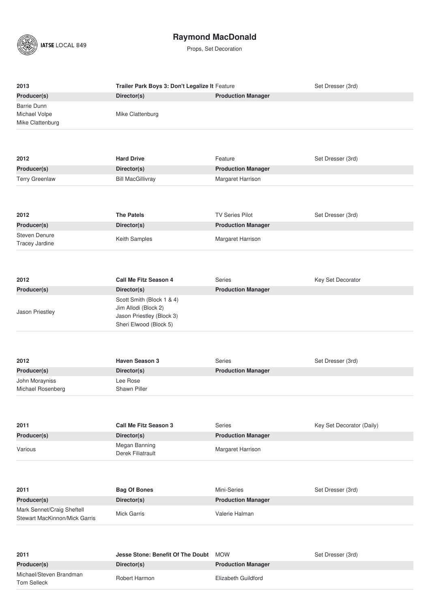

| 2013                                   | Trailer Park Boys 3: Don't Legalize It Feature      |                           | Set Dresser (3rd)         |
|----------------------------------------|-----------------------------------------------------|---------------------------|---------------------------|
| Producer(s)                            | Director(s)                                         | <b>Production Manager</b> |                           |
| <b>Barrie Dunn</b>                     |                                                     |                           |                           |
| Michael Volpe                          | Mike Clattenburg                                    |                           |                           |
| Mike Clattenburg                       |                                                     |                           |                           |
|                                        |                                                     |                           |                           |
|                                        |                                                     |                           |                           |
| 2012                                   | <b>Hard Drive</b>                                   | Feature                   | Set Dresser (3rd)         |
| Producer(s)                            | Director(s)                                         | <b>Production Manager</b> |                           |
| <b>Terry Greenlaw</b>                  | <b>Bill MacGillivray</b>                            | Margaret Harrison         |                           |
|                                        |                                                     |                           |                           |
|                                        |                                                     |                           |                           |
|                                        |                                                     |                           |                           |
| 2012                                   | <b>The Patels</b>                                   | <b>TV Series Pilot</b>    | Set Dresser (3rd)         |
| Producer(s)                            | Director(s)                                         | <b>Production Manager</b> |                           |
| Steven Denure                          | Keith Samples                                       | Margaret Harrison         |                           |
| Tracey Jardine                         |                                                     |                           |                           |
|                                        |                                                     |                           |                           |
|                                        |                                                     |                           |                           |
| 2012                                   | <b>Call Me Fitz Season 4</b>                        | <b>Series</b>             | Key Set Decorator         |
| Producer(s)                            | Director(s)                                         | <b>Production Manager</b> |                           |
|                                        | Scott Smith (Block 1 & 4)                           |                           |                           |
| Jason Priestley                        | Jim Allodi (Block 2)                                |                           |                           |
|                                        | Jason Priestley (Block 3)<br>Sheri Elwood (Block 5) |                           |                           |
|                                        |                                                     |                           |                           |
|                                        |                                                     |                           |                           |
|                                        |                                                     |                           |                           |
| 2012                                   | <b>Haven Season 3</b>                               | <b>Series</b>             | Set Dresser (3rd)         |
| Producer(s)                            | Director(s)                                         | <b>Production Manager</b> |                           |
| John Morayniss                         | Lee Rose                                            |                           |                           |
| Michael Rosenberg                      | <b>Shawn Piller</b>                                 |                           |                           |
|                                        |                                                     |                           |                           |
|                                        |                                                     |                           |                           |
|                                        |                                                     |                           |                           |
|                                        |                                                     |                           |                           |
| 2011                                   | <b>Call Me Fitz Season 3</b>                        | Series                    | Key Set Decorator (Daily) |
| Producer(s)                            | Director(s)                                         | <b>Production Manager</b> |                           |
| Various                                | Megan Banning<br>Derek Filiatrault                  | Margaret Harrison         |                           |
|                                        |                                                     |                           |                           |
|                                        |                                                     |                           |                           |
|                                        |                                                     |                           |                           |
| 2011                                   | <b>Bag Of Bones</b>                                 | Mini-Series               | Set Dresser (3rd)         |
| Producer(s)                            | Director(s)                                         | <b>Production Manager</b> |                           |
| Mark Sennet/Craig Sheftell             | <b>Mick Garris</b>                                  | Valerie Halman            |                           |
| Stewart MacKinnon/Mick Garris          |                                                     |                           |                           |
|                                        |                                                     |                           |                           |
|                                        |                                                     |                           |                           |
| 2011                                   | Jesse Stone: Benefit Of The Doubt                   | <b>MOW</b>                | Set Dresser (3rd)         |
| Producer(s)                            | Director(s)                                         | <b>Production Manager</b> |                           |
| Michael/Steven Brandman<br>Tom Selleck | Robert Harmon                                       | Elizabeth Guildford       |                           |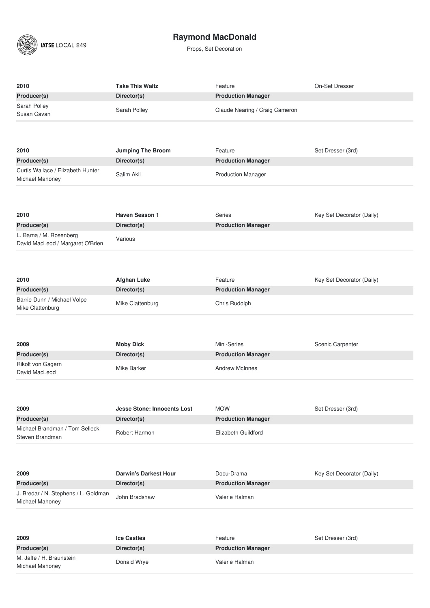

| 2010                                 | <b>Take This Waltz</b>                  | Feature                              | On-Set Dresser            |
|--------------------------------------|-----------------------------------------|--------------------------------------|---------------------------|
| Producer(s)                          | Director(s)                             | <b>Production Manager</b>            |                           |
| Sarah Polley                         | Sarah Polley                            | Claude Nearing / Craig Cameron       |                           |
| Susan Cavan                          |                                         |                                      |                           |
|                                      |                                         |                                      |                           |
|                                      |                                         |                                      |                           |
| 2010<br>Producer(s)                  | <b>Jumping The Broom</b><br>Director(s) | Feature<br><b>Production Manager</b> | Set Dresser (3rd)         |
| Curtis Wallace / Elizabeth Hunter    |                                         |                                      |                           |
| Michael Mahoney                      | Salim Akil                              | <b>Production Manager</b>            |                           |
|                                      |                                         |                                      |                           |
|                                      |                                         |                                      |                           |
| 2010                                 | <b>Haven Season 1</b>                   | <b>Series</b>                        | Key Set Decorator (Daily) |
| Producer(s)                          | Director(s)                             | <b>Production Manager</b>            |                           |
| L. Barna / M. Rosenberg              |                                         |                                      |                           |
| David MacLeod / Margaret O'Brien     | Various                                 |                                      |                           |
|                                      |                                         |                                      |                           |
|                                      |                                         |                                      |                           |
| 2010                                 | <b>Afghan Luke</b>                      | Feature                              | Key Set Decorator (Daily) |
| Producer(s)                          | Director(s)                             | <b>Production Manager</b>            |                           |
| Barrie Dunn / Michael Volpe          |                                         |                                      |                           |
| Mike Clattenburg                     | Mike Clattenburg                        | Chris Rudolph                        |                           |
|                                      |                                         |                                      |                           |
|                                      |                                         |                                      |                           |
| 2009                                 | <b>Moby Dick</b>                        | Mini-Series                          | Scenic Carpenter          |
| Producer(s)                          | Director(s)                             | <b>Production Manager</b>            |                           |
| Rikolt von Gagern                    | Mike Barker                             | <b>Andrew McInnes</b>                |                           |
| David MacLeod                        |                                         |                                      |                           |
|                                      |                                         |                                      |                           |
|                                      |                                         |                                      |                           |
| 2009                                 | <b>Jesse Stone: Innocents Lost</b>      | <b>MOW</b>                           | Set Dresser (3rd)         |
| Producer(s)                          | Director(s)                             | <b>Production Manager</b>            |                           |
| Michael Brandman / Tom Selleck       | Robert Harmon                           | Elizabeth Guildford                  |                           |
| Steven Brandman                      |                                         |                                      |                           |
|                                      |                                         |                                      |                           |
|                                      |                                         |                                      |                           |
| 2009                                 | <b>Darwin's Darkest Hour</b>            | Docu-Drama                           | Key Set Decorator (Daily) |
| Producer(s)                          | Director(s)                             | <b>Production Manager</b>            |                           |
| J. Bredar / N. Stephens / L. Goldman |                                         |                                      |                           |
|                                      | John Bradshaw                           | Valerie Halman                       |                           |
| Michael Mahoney                      |                                         |                                      |                           |
|                                      |                                         |                                      |                           |
|                                      |                                         |                                      |                           |
| 2009                                 | <b>Ice Castles</b>                      | Feature                              | Set Dresser (3rd)         |
| Producer(s)                          | Director(s)                             | <b>Production Manager</b>            |                           |
| M. Jaffe / H. Braunstein             |                                         | Valerie Halman                       |                           |
| Michael Mahoney                      | Donald Wrye                             |                                      |                           |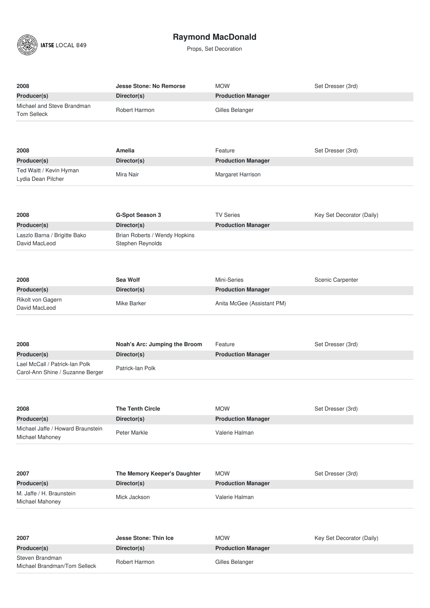

| 2008                                                 | <b>Jesse Stone: No Remorse</b>                    | <b>MOW</b>                 | Set Dresser (3rd)         |
|------------------------------------------------------|---------------------------------------------------|----------------------------|---------------------------|
| Producer(s)                                          | Director(s)                                       | <b>Production Manager</b>  |                           |
| Michael and Steve Brandman<br><b>Tom Selleck</b>     | Robert Harmon                                     | Gilles Belanger            |                           |
|                                                      |                                                   |                            |                           |
| 2008                                                 | <b>Amelia</b>                                     | Feature                    | Set Dresser (3rd)         |
| Producer(s)                                          | Director(s)                                       | <b>Production Manager</b>  |                           |
| Ted Waitt / Kevin Hyman<br>Lydia Dean Pilcher        | Mira Nair                                         | Margaret Harrison          |                           |
|                                                      |                                                   |                            |                           |
| 2008                                                 | <b>G-Spot Season 3</b>                            | <b>TV Series</b>           | Key Set Decorator (Daily) |
| Producer(s)                                          | Director(s)                                       | <b>Production Manager</b>  |                           |
| Laszlo Barna / Brigitte Bako<br>David MacLeod        | Brian Roberts / Wendy Hopkins<br>Stephen Reynolds |                            |                           |
|                                                      |                                                   |                            |                           |
|                                                      |                                                   |                            |                           |
|                                                      |                                                   |                            |                           |
| 2008                                                 | Sea Wolf                                          | Mini-Series                | Scenic Carpenter          |
| Producer(s)                                          | Director(s)                                       | <b>Production Manager</b>  |                           |
| Rikolt von Gagern<br>David MacLeod                   | Mike Barker                                       | Anita McGee (Assistant PM) |                           |
|                                                      |                                                   |                            |                           |
|                                                      |                                                   |                            |                           |
| 2008                                                 | Noah's Arc: Jumping the Broom                     | Feature                    | Set Dresser (3rd)         |
| Producer(s)                                          | Director(s)                                       | <b>Production Manager</b>  |                           |
| Lael McCall / Patrick-lan Polk                       | Patrick-lan Polk                                  |                            |                           |
| Carol-Ann Shine / Suzanne Berger                     |                                                   |                            |                           |
|                                                      |                                                   |                            |                           |
|                                                      |                                                   |                            |                           |
|                                                      |                                                   |                            |                           |
| 2008                                                 | <b>The Tenth Circle</b>                           | <b>MOW</b>                 | Set Dresser (3rd)         |
| Producer(s)                                          | Director(s)                                       | <b>Production Manager</b>  |                           |
| Michael Jaffe / Howard Braunstein<br>Michael Mahoney | Peter Markle                                      | Valerie Halman             |                           |
|                                                      |                                                   |                            |                           |
|                                                      |                                                   |                            |                           |
| 2007                                                 | The Memory Keeper's Daughter                      | <b>MOW</b>                 | Set Dresser (3rd)         |
| Producer(s)                                          | Director(s)                                       | <b>Production Manager</b>  |                           |
| M. Jaffe / H. Braunstein<br>Michael Mahoney          | Mick Jackson                                      | Valerie Halman             |                           |
|                                                      |                                                   |                            |                           |
|                                                      |                                                   |                            |                           |
|                                                      |                                                   |                            |                           |
| 2007                                                 | <b>Jesse Stone: Thin Ice</b>                      | <b>MOW</b>                 | Key Set Decorator (Daily) |
| Producer(s)<br>Steven Brandman                       | Director(s)                                       | <b>Production Manager</b>  |                           |
| Michael Brandman/Tom Selleck                         | Robert Harmon                                     | Gilles Belanger            |                           |